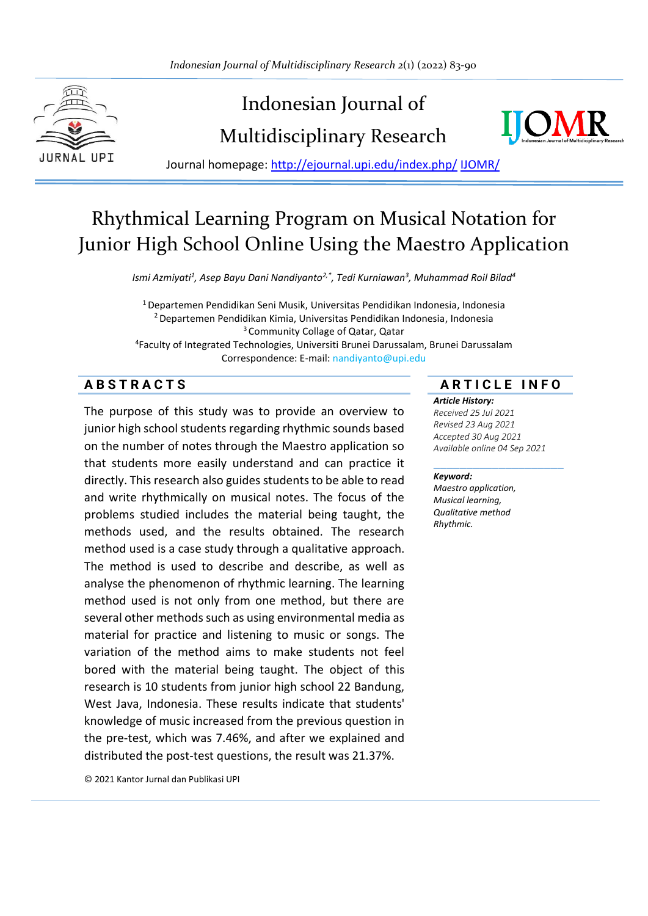

# Indonesian Journal of Multidisciplinary Research



Journal homepage: [http://ejournal.upi.edu/index.php/](http://ejournal.upi.edu/index.php/IJERT/) IJOMR/

## Rhythmical Learning Program on Musical Notation for Junior High School Online Using the Maestro Application

*Ismi Azmiyati<sup>1</sup> , Asep Bayu Dani Nandiyanto2,\* , Tedi Kurniawan<sup>3</sup> , Muhammad Roil Bilad<sup>4</sup>*

<sup>1</sup>Departemen Pendidikan Seni Musik, Universitas Pendidikan Indonesia, Indonesia <sup>2</sup>Departemen Pendidikan Kimia, Universitas Pendidikan Indonesia, Indonesia <sup>3</sup> Community Collage of Qatar, Qatar 4 Faculty of Integrated Technologies, Universiti Brunei Darussalam, Brunei Darussalam Correspondence: E-mail: nandiyanto@upi.edu

The purpose of this study was to provide an overview to junior high school students regarding rhythmic sounds based on the number of notes through the Maestro application so that students more easily understand and can practice it directly. This research also guides students to be able to read and write rhythmically on musical notes. The focus of the problems studied includes the material being taught, the methods used, and the results obtained. The research method used is a case study through a qualitative approach. The method is used to describe and describe, as well as analyse the phenomenon of rhythmic learning. The learning method used is not only from one method, but there are several other methods such as using environmental media as material for practice and listening to music or songs. The variation of the method aims to make students not feel bored with the material being taught. The object of this research is 10 students from junior high school 22 Bandung, West Java, Indonesia. These results indicate that students' knowledge of music increased from the previous question in the pre-test, which was 7.46%, and after we explained and distributed the post-test questions, the result was 21.37%.

© 2021 Kantor Jurnal dan Publikasi UPI

#### **A B S T R A C T S A R T I C L E I N F O**

#### *Article History:*

*Received 25 Jul 2021 Revised 23 Aug 2021 Accepted 30 Aug 2021 Available online 04 Sep 2021*

\_\_\_\_\_\_\_\_\_\_\_\_\_\_\_\_\_\_\_\_

#### *Keyword:*

*Maestro application, Musical learning, Qualitative method Rhythmic.*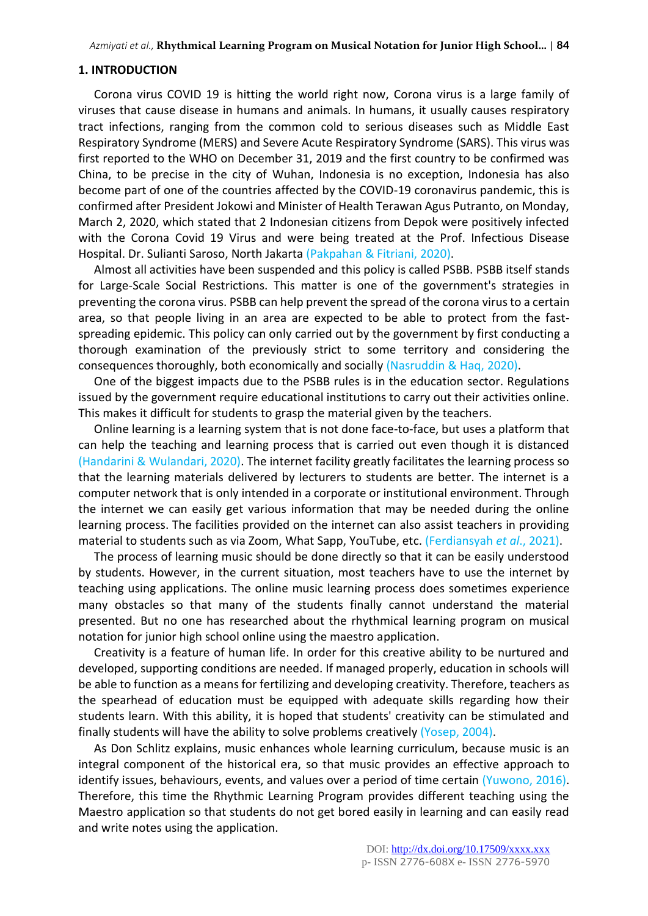#### **1. INTRODUCTION**

Corona virus COVID 19 is hitting the world right now, Corona virus is a large family of viruses that cause disease in humans and animals. In humans, it usually causes respiratory tract infections, ranging from the common cold to serious diseases such as Middle East Respiratory Syndrome (MERS) and Severe Acute Respiratory Syndrome (SARS). This virus was first reported to the WHO on December 31, 2019 and the first country to be confirmed was China, to be precise in the city of Wuhan, Indonesia is no exception, Indonesia has also become part of one of the countries affected by the COVID-19 coronavirus pandemic, this is confirmed after President Jokowi and Minister of Health Terawan Agus Putranto, on Monday, March 2, 2020, which stated that 2 Indonesian citizens from Depok were positively infected with the Corona Covid 19 Virus and were being treated at the Prof. Infectious Disease Hospital. Dr. Sulianti Saroso, North Jakarta (Pakpahan & Fitriani, 2020).

Almost all activities have been suspended and this policy is called PSBB. PSBB itself stands for Large-Scale Social Restrictions. This matter is one of the government's strategies in preventing the corona virus. PSBB can help prevent the spread of the corona virus to a certain area, so that people living in an area are expected to be able to protect from the fastspreading epidemic. This policy can only carried out by the government by first conducting a thorough examination of the previously strict to some territory and considering the consequences thoroughly, both economically and socially (Nasruddin & Haq, 2020).

One of the biggest impacts due to the PSBB rules is in the education sector. Regulations issued by the government require educational institutions to carry out their activities online. This makes it difficult for students to grasp the material given by the teachers.

Online learning is a learning system that is not done face-to-face, but uses a platform that can help the teaching and learning process that is carried out even though it is distanced (Handarini & Wulandari, 2020). The internet facility greatly facilitates the learning process so that the learning materials delivered by lecturers to students are better. The internet is a computer network that is only intended in a corporate or institutional environment. Through the internet we can easily get various information that may be needed during the online learning process. The facilities provided on the internet can also assist teachers in providing material to students such as via Zoom, What Sapp, YouTube, etc. (Ferdiansyah *et al*., 2021).

The process of learning music should be done directly so that it can be easily understood by students. However, in the current situation, most teachers have to use the internet by teaching using applications. The online music learning process does sometimes experience many obstacles so that many of the students finally cannot understand the material presented. But no one has researched about the rhythmical learning program on musical notation for junior high school online using the maestro application.

Creativity is a feature of human life. In order for this creative ability to be nurtured and developed, supporting conditions are needed. If managed properly, education in schools will be able to function as a means for fertilizing and developing creativity. Therefore, teachers as the spearhead of education must be equipped with adequate skills regarding how their students learn. With this ability, it is hoped that students' creativity can be stimulated and finally students will have the ability to solve problems creatively (Yosep, 2004).

As Don Schlitz explains, music enhances whole learning curriculum, because music is an integral component of the historical era, so that music provides an effective approach to identify issues, behaviours, events, and values over a period of time certain (Yuwono, 2016). Therefore, this time the Rhythmic Learning Program provides different teaching using the Maestro application so that students do not get bored easily in learning and can easily read and write notes using the application.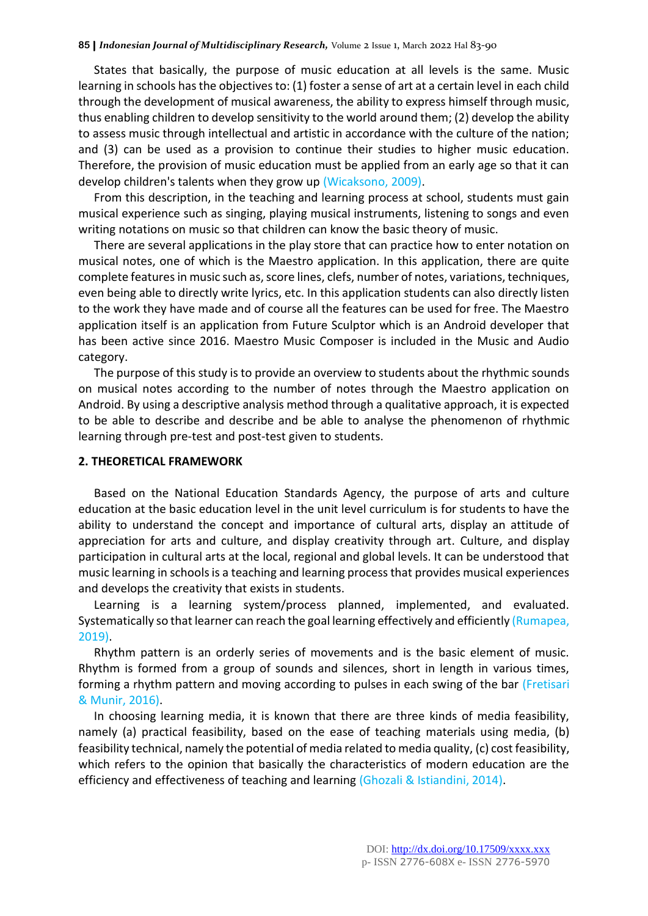States that basically, the purpose of music education at all levels is the same. Music learning in schools has the objectives to: (1) foster a sense of art at a certain level in each child through the development of musical awareness, the ability to express himself through music, thus enabling children to develop sensitivity to the world around them; (2) develop the ability to assess music through intellectual and artistic in accordance with the culture of the nation; and (3) can be used as a provision to continue their studies to higher music education. Therefore, the provision of music education must be applied from an early age so that it can develop children's talents when they grow up (Wicaksono, 2009).

From this description, in the teaching and learning process at school, students must gain musical experience such as singing, playing musical instruments, listening to songs and even writing notations on music so that children can know the basic theory of music.

There are several applications in the play store that can practice how to enter notation on musical notes, one of which is the Maestro application. In this application, there are quite complete features in music such as, score lines, clefs, number of notes, variations, techniques, even being able to directly write lyrics, etc. In this application students can also directly listen to the work they have made and of course all the features can be used for free. The Maestro application itself is an application from Future Sculptor which is an Android developer that has been active since 2016. Maestro Music Composer is included in the Music and Audio category.

The purpose of this study is to provide an overview to students about the rhythmic sounds on musical notes according to the number of notes through the Maestro application on Android. By using a descriptive analysis method through a qualitative approach, it is expected to be able to describe and describe and be able to analyse the phenomenon of rhythmic learning through pre-test and post-test given to students.

#### **2. THEORETICAL FRAMEWORK**

Based on the National Education Standards Agency, the purpose of arts and culture education at the basic education level in the unit level curriculum is for students to have the ability to understand the concept and importance of cultural arts, display an attitude of appreciation for arts and culture, and display creativity through art. Culture, and display participation in cultural arts at the local, regional and global levels. It can be understood that music learning in schools is a teaching and learning process that provides musical experiences and develops the creativity that exists in students.

Learning is a learning system/process planned, implemented, and evaluated. Systematically so that learner can reach the goal learning effectively and efficiently (Rumapea, 2019).

Rhythm pattern is an orderly series of movements and is the basic element of music. Rhythm is formed from a group of sounds and silences, short in length in various times, forming a rhythm pattern and moving according to pulses in each swing of the bar (Fretisari & Munir, 2016).

In choosing learning media, it is known that there are three kinds of media feasibility, namely (a) practical feasibility, based on the ease of teaching materials using media, (b) feasibility technical, namely the potential of media related to media quality, (c) cost feasibility, which refers to the opinion that basically the characteristics of modern education are the efficiency and effectiveness of teaching and learning (Ghozali & Istiandini, 2014).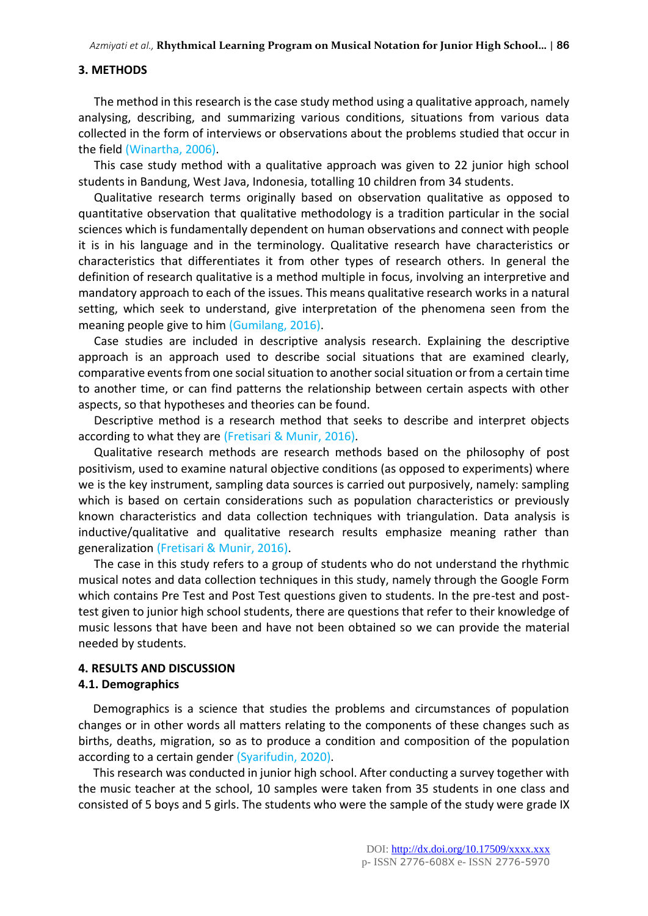#### **3. METHODS**

The method in this research is the case study method using a qualitative approach, namely analysing, describing, and summarizing various conditions, situations from various data collected in the form of interviews or observations about the problems studied that occur in the field (Winartha, 2006).

This case study method with a qualitative approach was given to 22 junior high school students in Bandung, West Java, Indonesia, totalling 10 children from 34 students.

Qualitative research terms originally based on observation qualitative as opposed to quantitative observation that qualitative methodology is a tradition particular in the social sciences which is fundamentally dependent on human observations and connect with people it is in his language and in the terminology. Qualitative research have characteristics or characteristics that differentiates it from other types of research others. In general the definition of research qualitative is a method multiple in focus, involving an interpretive and mandatory approach to each of the issues. This means qualitative research works in a natural setting, which seek to understand, give interpretation of the phenomena seen from the meaning people give to him (Gumilang, 2016).

Case studies are included in descriptive analysis research. Explaining the descriptive approach is an approach used to describe social situations that are examined clearly, comparative events from one social situation to another social situation or from a certain time to another time, or can find patterns the relationship between certain aspects with other aspects, so that hypotheses and theories can be found.

Descriptive method is a research method that seeks to describe and interpret objects according to what they are (Fretisari & Munir, 2016).

Qualitative research methods are research methods based on the philosophy of post positivism, used to examine natural objective conditions (as opposed to experiments) where we is the key instrument, sampling data sources is carried out purposively, namely: sampling which is based on certain considerations such as population characteristics or previously known characteristics and data collection techniques with triangulation. Data analysis is inductive/qualitative and qualitative research results emphasize meaning rather than generalization (Fretisari & Munir, 2016).

The case in this study refers to a group of students who do not understand the rhythmic musical notes and data collection techniques in this study, namely through the Google Form which contains Pre Test and Post Test questions given to students. In the pre-test and posttest given to junior high school students, there are questions that refer to their knowledge of music lessons that have been and have not been obtained so we can provide the material needed by students.

#### **4. RESULTS AND DISCUSSION 4.1. Demographics**

Demographics is a science that studies the problems and circumstances of population changes or in other words all matters relating to the components of these changes such as births, deaths, migration, so as to produce a condition and composition of the population according to a certain gender (Syarifudin, 2020).

This research was conducted in junior high school. After conducting a survey together with the music teacher at the school, 10 samples were taken from 35 students in one class and consisted of 5 boys and 5 girls. The students who were the sample of the study were grade IX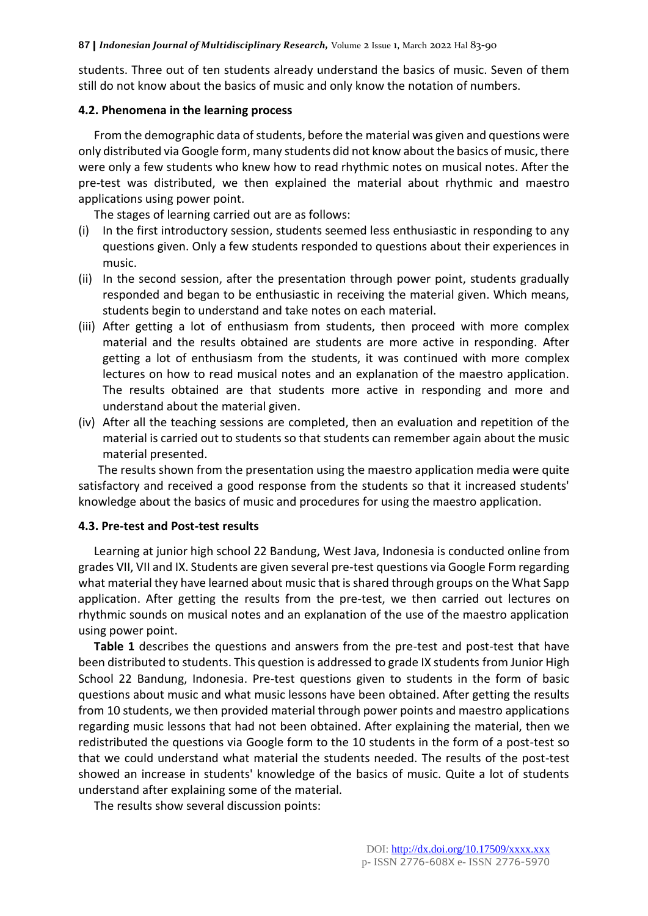students. Three out of ten students already understand the basics of music. Seven of them still do not know about the basics of music and only know the notation of numbers.

#### **4.2. Phenomena in the learning process**

From the demographic data of students, before the material was given and questions were only distributed via Google form, many students did not know about the basics of music, there were only a few students who knew how to read rhythmic notes on musical notes. After the pre-test was distributed, we then explained the material about rhythmic and maestro applications using power point.

The stages of learning carried out are as follows:

- (i) In the first introductory session, students seemed less enthusiastic in responding to any questions given. Only a few students responded to questions about their experiences in music.
- (ii) In the second session, after the presentation through power point, students gradually responded and began to be enthusiastic in receiving the material given. Which means, students begin to understand and take notes on each material.
- (iii) After getting a lot of enthusiasm from students, then proceed with more complex material and the results obtained are students are more active in responding. After getting a lot of enthusiasm from the students, it was continued with more complex lectures on how to read musical notes and an explanation of the maestro application. The results obtained are that students more active in responding and more and understand about the material given.
- (iv) After all the teaching sessions are completed, then an evaluation and repetition of the material is carried out to students so that students can remember again about the music material presented.

The results shown from the presentation using the maestro application media were quite satisfactory and received a good response from the students so that it increased students' knowledge about the basics of music and procedures for using the maestro application.

#### **4.3. Pre-test and Post-test results**

Learning at junior high school 22 Bandung, West Java, Indonesia is conducted online from grades VII, VII and IX. Students are given several pre-test questions via Google Form regarding what material they have learned about music that is shared through groups on the What Sapp application. After getting the results from the pre-test, we then carried out lectures on rhythmic sounds on musical notes and an explanation of the use of the maestro application using power point.

**Table 1** describes the questions and answers from the pre-test and post-test that have been distributed to students. This question is addressed to grade IX students from Junior High School 22 Bandung, Indonesia. Pre-test questions given to students in the form of basic questions about music and what music lessons have been obtained. After getting the results from 10 students, we then provided material through power points and maestro applications regarding music lessons that had not been obtained. After explaining the material, then we redistributed the questions via Google form to the 10 students in the form of a post-test so that we could understand what material the students needed. The results of the post-test showed an increase in students' knowledge of the basics of music. Quite a lot of students understand after explaining some of the material.

The results show several discussion points: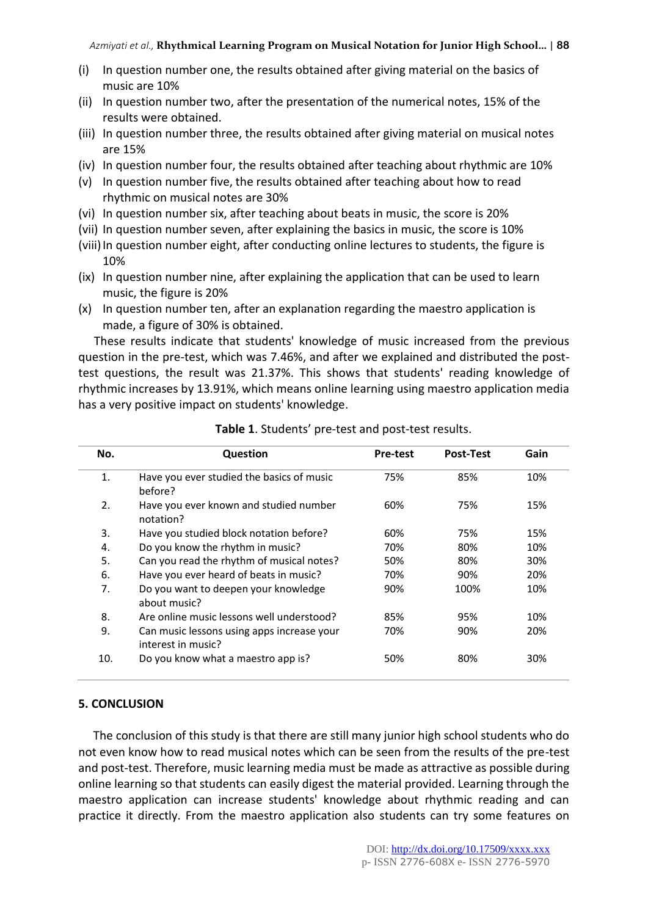- (i) In question number one, the results obtained after giving material on the basics of music are 10%
- (ii) In question number two, after the presentation of the numerical notes, 15% of the results were obtained.
- (iii) In question number three, the results obtained after giving material on musical notes are 15%
- (iv) In question number four, the results obtained after teaching about rhythmic are 10%
- (v) In question number five, the results obtained after teaching about how to read rhythmic on musical notes are 30%
- (vi) In question number six, after teaching about beats in music, the score is 20%
- (vii) In question number seven, after explaining the basics in music, the score is 10%
- (viii) In question number eight, after conducting online lectures to students, the figure is 10%
- (ix) In question number nine, after explaining the application that can be used to learn music, the figure is 20%
- (x) In question number ten, after an explanation regarding the maestro application is made, a figure of 30% is obtained.

These results indicate that students' knowledge of music increased from the previous question in the pre-test, which was 7.46%, and after we explained and distributed the posttest questions, the result was 21.37%. This shows that students' reading knowledge of rhythmic increases by 13.91%, which means online learning using maestro application media has a very positive impact on students' knowledge.

| No. | Question                                                         | <b>Pre-test</b> | <b>Post-Test</b> | Gain |
|-----|------------------------------------------------------------------|-----------------|------------------|------|
| 1.  | Have you ever studied the basics of music<br>before?             | 75%             | 85%              | 10%  |
| 2.  | Have you ever known and studied number<br>notation?              | 60%             | 75%              | 15%  |
| 3.  | Have you studied block notation before?                          | 60%             | 75%              | 15%  |
| 4.  | Do you know the rhythm in music?                                 | 70%             | 80%              | 10%  |
| 5.  | Can you read the rhythm of musical notes?                        | 50%             | 80%              | 30%  |
| 6.  | Have you ever heard of beats in music?                           | 70%             | 90%              | 20%  |
| 7.  | Do you want to deepen your knowledge<br>about music?             | 90%             | 100%             | 10%  |
| 8.  | Are online music lessons well understood?                        | 85%             | 95%              | 10%  |
| 9.  | Can music lessons using apps increase your<br>interest in music? | 70%             | 90%              | 20%  |
| 10. | Do you know what a maestro app is?                               | 50%             | 80%              | 30%  |

**Table 1**. Students' pre-test and post-test results.

### **5. CONCLUSION**

The conclusion of this study is that there are still many junior high school students who do not even know how to read musical notes which can be seen from the results of the pre-test and post-test. Therefore, music learning media must be made as attractive as possible during online learning so that students can easily digest the material provided. Learning through the maestro application can increase students' knowledge about rhythmic reading and can practice it directly. From the maestro application also students can try some features on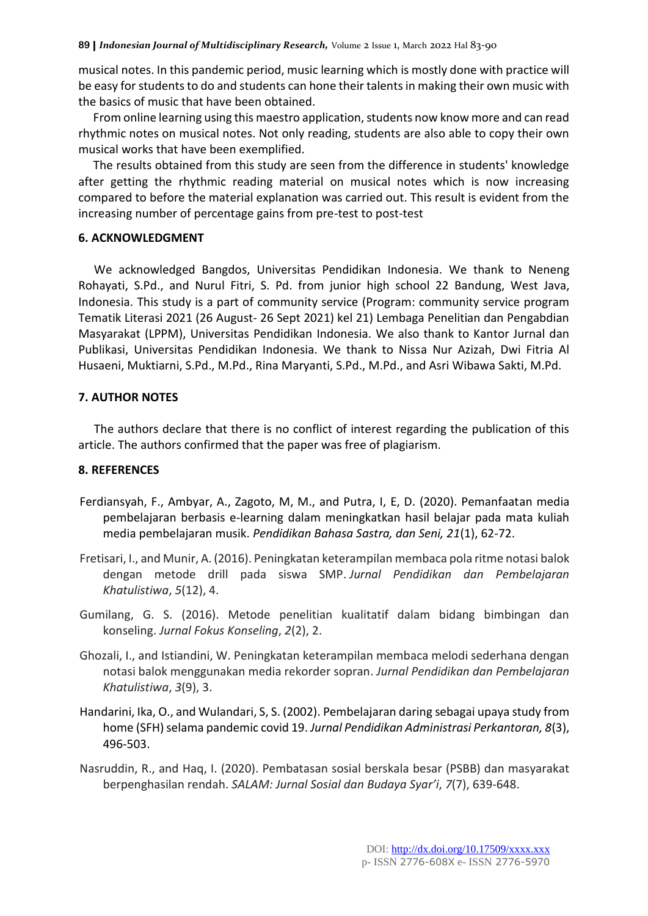musical notes. In this pandemic period, music learning which is mostly done with practice will be easy for students to do and students can hone their talents in making their own music with the basics of music that have been obtained.

From online learning using this maestro application, students now know more and can read rhythmic notes on musical notes. Not only reading, students are also able to copy their own musical works that have been exemplified.

The results obtained from this study are seen from the difference in students' knowledge after getting the rhythmic reading material on musical notes which is now increasing compared to before the material explanation was carried out. This result is evident from the increasing number of percentage gains from pre-test to post-test

#### **6. ACKNOWLEDGMENT**

We acknowledged Bangdos, Universitas Pendidikan Indonesia. We thank to Neneng Rohayati, S.Pd., and Nurul Fitri, S. Pd. from junior high school 22 Bandung, West Java, Indonesia. This study is a part of community service (Program: community service program Tematik Literasi 2021 (26 August- 26 Sept 2021) kel 21) Lembaga Penelitian dan Pengabdian Masyarakat (LPPM), Universitas Pendidikan Indonesia. We also thank to Kantor Jurnal dan Publikasi, Universitas Pendidikan Indonesia. We thank to Nissa Nur Azizah, Dwi Fitria Al Husaeni, Muktiarni, S.Pd., M.Pd., Rina Maryanti, S.Pd., M.Pd., and Asri Wibawa Sakti, M.Pd.

### **7. AUTHOR NOTES**

The authors declare that there is no conflict of interest regarding the publication of this article. The authors confirmed that the paper was free of plagiarism.

#### **8. REFERENCES**

- Ferdiansyah, F., Ambyar, A., Zagoto, M, M., and Putra, I, E, D. (2020). Pemanfaatan media pembelajaran berbasis e-learning dalam meningkatkan hasil belajar pada mata kuliah media pembelajaran musik. *Pendidikan Bahasa Sastra, dan Seni, 21*(1), 62-72.
- Fretisari, I., and Munir, A. (2016). Peningkatan keterampilan membaca pola ritme notasi balok dengan metode drill pada siswa SMP. *Jurnal Pendidikan dan Pembelajaran Khatulistiwa*, *5*(12), 4.
- Gumilang, G. S. (2016). Metode penelitian kualitatif dalam bidang bimbingan dan konseling. *Jurnal Fokus Konseling*, *2*(2), 2.
- Ghozali, I., and Istiandini, W. Peningkatan keterampilan membaca melodi sederhana dengan notasi balok menggunakan media rekorder sopran. *Jurnal Pendidikan dan Pembelajaran Khatulistiwa*, *3*(9), 3.
- Handarini, Ika, O., and Wulandari, S, S. (2002). Pembelajaran daring sebagai upaya study from home (SFH) selama pandemic covid 19. *Jurnal Pendidikan Administrasi Perkantoran, 8*(3), 496-503.
- Nasruddin, R., and Haq, I. (2020). Pembatasan sosial berskala besar (PSBB) dan masyarakat berpenghasilan rendah. *SALAM: Jurnal Sosial dan Budaya Syar'i*, *7*(7), 639-648.